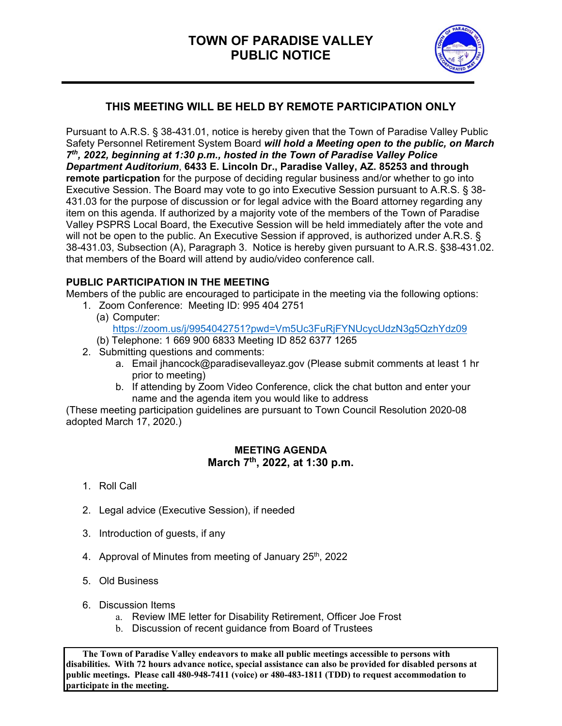

## **THIS MEETING WILL BE HELD BY REMOTE PARTICIPATION ONLY**

Pursuant to A.R.S. § 38-431.01, notice is hereby given that the Town of Paradise Valley Public Safety Personnel Retirement System Board *will hold a Meeting open to the public, on March 7th, 2022, beginning at 1:30 p.m., hosted in the Town of Paradise Valley Police Department Auditorium*, **6433 E. Lincoln Dr., Paradise Valley, AZ. 85253 and through remote particpation** for the purpose of deciding regular business and/or whether to go into Executive Session. The Board may vote to go into Executive Session pursuant to A.R.S. § 38- 431.03 for the purpose of discussion or for legal advice with the Board attorney regarding any item on this agenda. If authorized by a majority vote of the members of the Town of Paradise Valley PSPRS Local Board, the Executive Session will be held immediately after the vote and will not be open to the public. An Executive Session if approved, is authorized under A.R.S. § 38-431.03, Subsection (A), Paragraph 3. Notice is hereby given pursuant to A.R.S. §38-431.02. that members of the Board will attend by audio/video conference call.

## **PUBLIC PARTICIPATION IN THE MEETING**

Members of the public are encouraged to participate in the meeting via the following options:

- 1. Zoom Conference: Meeting ID: 995 404 2751
	- (a) Computer: https://zoom.us/j/9954042751?pwd=Vm5Uc3FuRjFYNUcycUdzN3g5QzhYdz09
	- (b) Telephone: 1 669 900 6833 Meeting ID 852 6377 1265
- 2. Submitting questions and comments:
	- a. Email jhancock@paradisevalleyaz.gov (Please submit comments at least 1 hr prior to meeting)
	- b. If attending by Zoom Video Conference, click the chat button and enter your name and the agenda item you would like to address

(These meeting participation guidelines are pursuant to Town Council Resolution 2020-08 adopted March 17, 2020.)

## **MEETING AGENDA March 7th, 2022, at 1:30 p.m.**

- 1. Roll Call
- 2. Legal advice (Executive Session), if needed
- 3. Introduction of guests, if any
- 4. Approval of Minutes from meeting of January 25<sup>th</sup>, 2022
- 5. Old Business
- 6. Discussion Items
	- a. Review IME letter for Disability Retirement, Officer Joe Frost
	- b. Discussion of recent guidance from Board of Trustees

 **The Town of Paradise Valley endeavors to make all public meetings accessible to persons with disabilities. With 72 hours advance notice, special assistance can also be provided for disabled persons at public meetings. Please call 480-948-7411 (voice) or 480-483-1811 (TDD) to request accommodation to participate in the meeting.**